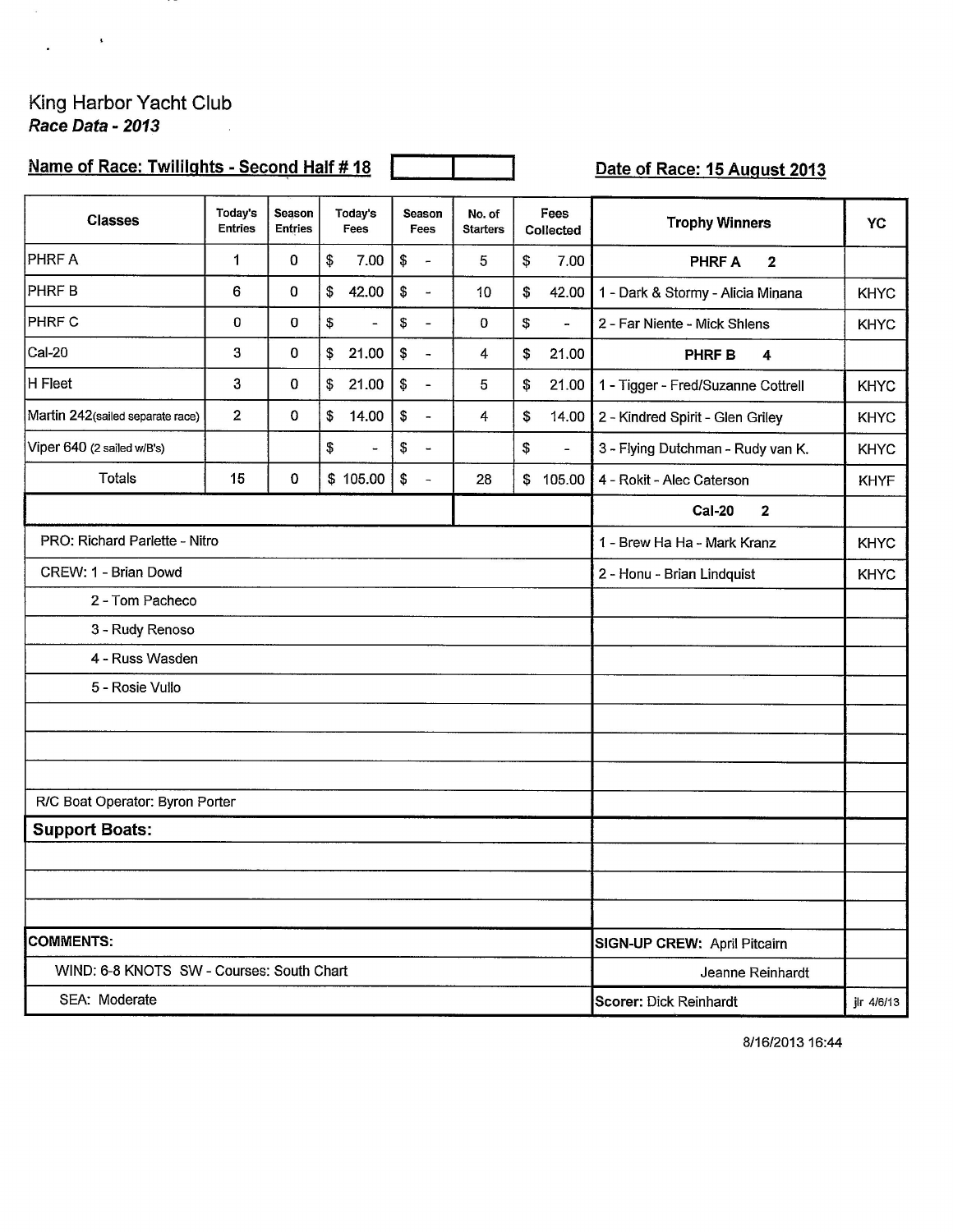## King Harbor Yacht Club<br>Race Data - 2013

 $\alpha$ 

 $\ddot{\phantom{a}}$ 

 $\sim 10^{-10}$  k  $^{-1}$ 

-17

## Name of Race: Twillights - Second Half # 18

Date of Race: 15 August 2013

| <b>Classes</b>                            | Today's<br><b>Entries</b> | Season<br><b>Entries</b>             | Today's<br>Fees      | <b>Season</b><br>Fees          | No. of<br><b>Starters</b> | Fees<br>Collected              | <b>Trophy Winners</b>              | <b>YC</b>   |
|-------------------------------------------|---------------------------|--------------------------------------|----------------------|--------------------------------|---------------------------|--------------------------------|------------------------------------|-------------|
| <b>PHRFA</b>                              | 1                         | $\mathbf 0$                          | \$<br>7.00           | \$<br>$\overline{a}$           | 5                         | \$<br>7.00                     | <b>PHRF A</b><br>$\mathbf{2}$      |             |
| PHRF B                                    | 6                         | $\bf{0}$                             | \$<br>42.00          | \$<br>$\overline{\phantom{a}}$ | 10                        | \$<br>42.00                    | 1 - Dark & Stormy - Alicia Minana  | <b>KHYC</b> |
| <b>PHRF C</b>                             | 0                         | 0                                    | \$<br>$\overline{a}$ | \$<br>$\overline{\phantom{a}}$ | 0                         | \$<br>$\overline{\phantom{a}}$ | 2 - Far Niente - Mick Shlens       | <b>KHYC</b> |
| Cal-20                                    | 3                         | 0                                    | \$<br>21.00          | \$<br>$\overline{a}$           | 4                         | \$<br>21.00                    | <b>PHRF B</b><br>4                 |             |
| H Fleet                                   | 3                         | $\mathbf 0$                          | \$<br>21.00          | \$<br>$\frac{1}{2}$            | 5                         | \$<br>21.00                    | 1 - Tigger - Fred/Suzanne Cottrell | <b>KHYC</b> |
| Martin 242(sailed separate race)          | $\overline{2}$            | 0                                    | \$<br>14.00          | \$<br>$\frac{1}{2}$            | 4                         | \$<br>14.00                    | 2 - Kindred Spirit - Glen Griley   | <b>KHYC</b> |
| Viper 640 (2 sailed w/B's)                |                           |                                      | \$<br>$\blacksquare$ | \$<br>$\blacksquare$           |                           | \$<br>$\overline{a}$           | 3 - Flying Dutchman - Rudy van K.  | <b>KHYC</b> |
| <b>Totals</b>                             | 15                        | 0                                    | \$105.00             | \$<br>$\overline{\phantom{a}}$ | 28                        | \$<br>105.00                   | 4 - Rokit - Alec Caterson          | <b>KHYF</b> |
|                                           |                           |                                      |                      |                                |                           |                                | <b>Cal-20</b><br>$\mathbf{2}$      |             |
| PRO: Richard Parlette - Nitro             |                           | 1 - Brew Ha Ha - Mark Kranz          | <b>KHYC</b>          |                                |                           |                                |                                    |             |
| CREW: 1 - Brian Dowd                      |                           | 2 - Honu - Brian Lindquist           | <b>KHYC</b>          |                                |                           |                                |                                    |             |
| 2 - Tom Pacheco                           |                           |                                      |                      |                                |                           |                                |                                    |             |
| 3 - Rudy Renoso                           |                           |                                      |                      |                                |                           |                                |                                    |             |
| 4 - Russ Wasden                           |                           |                                      |                      |                                |                           |                                |                                    |             |
| 5 - Rosie Vullo                           |                           |                                      |                      |                                |                           |                                |                                    |             |
|                                           |                           |                                      |                      |                                |                           |                                |                                    |             |
|                                           |                           |                                      |                      |                                |                           |                                |                                    |             |
|                                           |                           |                                      |                      |                                |                           |                                |                                    |             |
| R/C Boat Operator: Byron Porter           |                           |                                      |                      |                                |                           |                                |                                    |             |
| <b>Support Boats:</b>                     |                           |                                      |                      |                                |                           |                                |                                    |             |
|                                           |                           |                                      |                      |                                |                           |                                |                                    |             |
|                                           |                           |                                      |                      |                                |                           |                                |                                    |             |
| <b>COMMENTS:</b>                          |                           | SIGN-UP CREW: April Pitcairn         |                      |                                |                           |                                |                                    |             |
| WIND: 6-8 KNOTS SW - Courses: South Chart |                           | Jeanne Reinhardt                     |                      |                                |                           |                                |                                    |             |
| SEA: Moderate                             |                           | Scorer: Dick Reinhardt<br>jlr 4/6/13 |                      |                                |                           |                                |                                    |             |

8/16/2013 16:44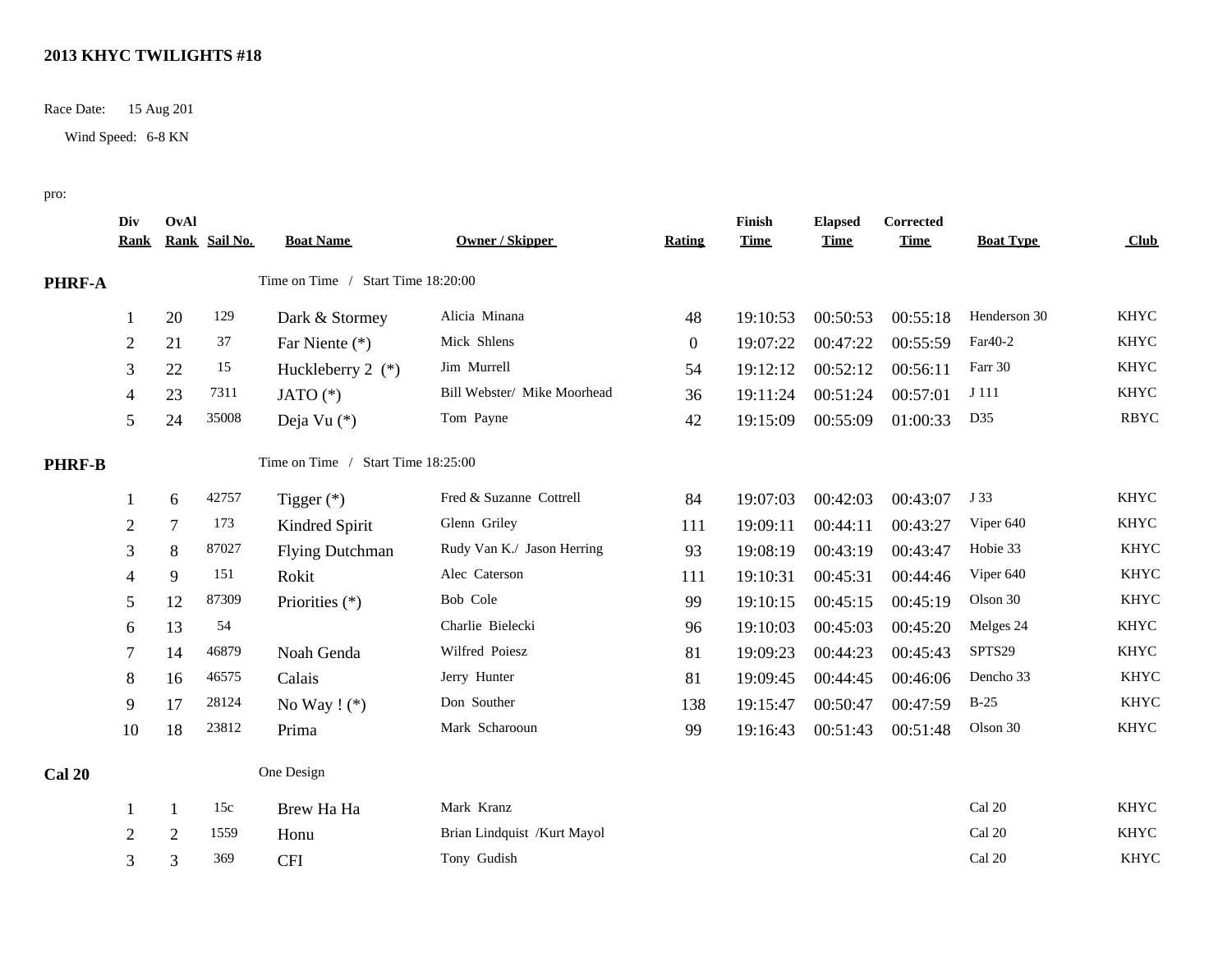## **2013 KHYC TWILIGHTS #18**

Race Date: 15 Aug 201

Wind Speed: 6-8 KN

pro:

|               | Div<br><u>Rank</u> | OvAl         | Rank Sail No. | <b>Boat Name</b>                   | Owner / Skipper             | <b>Rating</b>  | Finish<br><b>Time</b> | <b>Elapsed</b><br><b>Time</b> | Corrected<br><b>Time</b> | <b>Boat Type</b> | <b>Club</b> |
|---------------|--------------------|--------------|---------------|------------------------------------|-----------------------------|----------------|-----------------------|-------------------------------|--------------------------|------------------|-------------|
| <b>PHRF-A</b> |                    |              |               | Time on Time / Start Time 18:20:00 |                             |                |                       |                               |                          |                  |             |
|               | 1                  | 20           | 129           | Dark & Stormey                     | Alicia Minana               | 48             | 19:10:53              | 00:50:53                      | 00:55:18                 | Henderson 30     | <b>KHYC</b> |
|               | $\overline{2}$     | 21           | 37            | Far Niente (*)                     | Mick Shlens                 | $\overline{0}$ | 19:07:22              | 00:47:22                      | 00:55:59                 | Far40-2          | <b>KHYC</b> |
|               | 3                  | 22           | 15            | Huckleberry 2 $(*)$                | Jim Murrell                 | 54             | 19:12:12              | 00:52:12                      | 00:56:11                 | Farr 30          | <b>KHYC</b> |
|               | 4                  | 23           | 7311          | JATO $(*)$                         | Bill Webster/ Mike Moorhead | 36             | 19:11:24              | 00:51:24                      | 00:57:01                 | J 111            | <b>KHYC</b> |
|               | 5                  | 24           | 35008         | Deja Vu (*)                        | Tom Payne                   | 42             | 19:15:09              | 00:55:09                      | 01:00:33                 | D35              | <b>RBYC</b> |
| <b>PHRF-B</b> |                    |              |               | Time on Time / Start Time 18:25:00 |                             |                |                       |                               |                          |                  |             |
|               |                    | 6            | 42757         | Tigger $(*)$                       | Fred & Suzanne Cottrell     | 84             | 19:07:03              | 00:42:03                      | 00:43:07                 | J 33             | <b>KHYC</b> |
|               | $\overline{2}$     | $\tau$       | 173           | Kindred Spirit                     | Glenn Griley                | 111            | 19:09:11              | 00:44:11                      | 00:43:27                 | Viper 640        | <b>KHYC</b> |
|               | 3                  | 8            | 87027         | <b>Flying Dutchman</b>             | Rudy Van K./ Jason Herring  | 93             | 19:08:19              | 00:43:19                      | 00:43:47                 | Hobie 33         | <b>KHYC</b> |
|               | 4                  | 9            | 151           | Rokit                              | Alec Caterson               | 111            | 19:10:31              | 00:45:31                      | 00:44:46                 | Viper 640        | <b>KHYC</b> |
|               | 5                  | 12           | 87309         | Priorities (*)                     | Bob Cole                    | 99             | 19:10:15              | 00:45:15                      | 00:45:19                 | Olson 30         | <b>KHYC</b> |
|               | 6                  | 13           | 54            |                                    | Charlie Bielecki            | 96             | 19:10:03              | 00:45:03                      | 00:45:20                 | Melges 24        | <b>KHYC</b> |
|               | 7                  | 14           | 46879         | Noah Genda                         | Wilfred Poiesz              | 81             | 19:09:23              | 00:44:23                      | 00:45:43                 | SPTS29           | <b>KHYC</b> |
|               | 8                  | 16           | 46575         | Calais                             | Jerry Hunter                | 81             | 19:09:45              | 00:44:45                      | 00:46:06                 | Dencho 33        | <b>KHYC</b> |
|               | 9                  | 17           | 28124         | No Way $! (*)$                     | Don Souther                 | 138            | 19:15:47              | 00:50:47                      | 00:47:59                 | $B-25$           | <b>KHYC</b> |
|               | 10                 | 18           | 23812         | Prima                              | Mark Scharooun              | 99             | 19:16:43              | 00:51:43                      | 00:51:48                 | Olson 30         | <b>KHYC</b> |
| <b>Cal 20</b> |                    |              |               | One Design                         |                             |                |                       |                               |                          |                  |             |
|               | 1                  | $\mathbf{1}$ | 15c           | Brew Ha Ha                         | Mark Kranz                  |                |                       |                               |                          | Cal 20           | <b>KHYC</b> |
|               | 2                  | 2            | 1559          | Honu                               | Brian Lindquist /Kurt Mayol |                |                       |                               |                          | Cal 20           | <b>KHYC</b> |
|               | 3                  | 3            | 369           | <b>CFI</b>                         | Tony Gudish                 |                |                       |                               |                          | Cal 20           | <b>KHYC</b> |